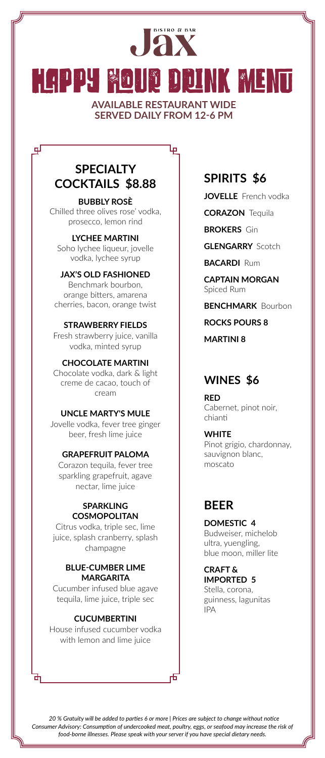# **JAX** HAPPY HOUR DRINK MENU **AVAILABLE RESTAURANT WIDE**

**SERVED DAILY FROM 12-6 PM**

Ιę

# **SPECIALTY COCKTAILS \$8.88**

டி

**BUBBLY ROSÈ**  Chilled three olives rose' vodka, prosecco, lemon rind

### **LYCHEE MARTINI**

Soho lychee liqueur, jovelle vodka, lychee syrup

### **JAX'S OLD FASHIONED**

Benchmark bourbon, orange bitters, amarena cherries, bacon, orange twist

### **STRAWBERRY FIELDS**

Fresh strawberry juice, vanilla vodka, minted syrup

### **CHOCOLATE MARTINI**

Chocolate vodka, dark & light creme de cacao, touch of cream

### **UNCLE MARTY'S MULE**

Jovelle vodka, fever tree ginger beer, fresh lime juice

### **GRAPEFRUIT PALOMA**

Corazon tequila, fever tree sparkling grapefruit, agave nectar, lime juice

#### **SPARKLING COSMOPOLITAN**

Citrus vodka, triple sec, lime juice, splash cranberry, splash champagne

### **BLUE-CUMBER LIME MARGARITA**

Cucumber infused blue agave tequila, lime juice, triple sec

### **CUCUMBERTINI**

House infused cucumber vodka with lemon and lime juice

+

# **SPIRITS \$6**

**JOVELLE** French vodka

**CORAZON** Tequila

**BROKERS** Gin

**GLENGARRY** Scotch

**BACARDI Rum** 

**CAPTAIN MORGAN** Spiced Rum

### **BENCHMARK** Bourbon

**ROCKS POURS 8**

**MARTINI 8**

### **WINES \$6**

#### **RED**  Cabernet, pinot noir, chianti

**WHITE** Pinot grigio, chardonnay, sauvignon blanc, moscato

# **BEER**

**DOMESTIC 4** Budweiser, michelob ultra, yuengling, blue moon, miller lite

**CRAFT & IMPORTED 5**  Stella, corona, guinness, lagunitas IPA

*Consumer Advisory: Consumption of undercooked meat, poultry, eggs, or seafood may increase the risk of food-borne illnesses. Please speak with your server if you have special dietary needs. 20 % Gratuity will be added to parties 6 or more | Prices are subject to change without notice*